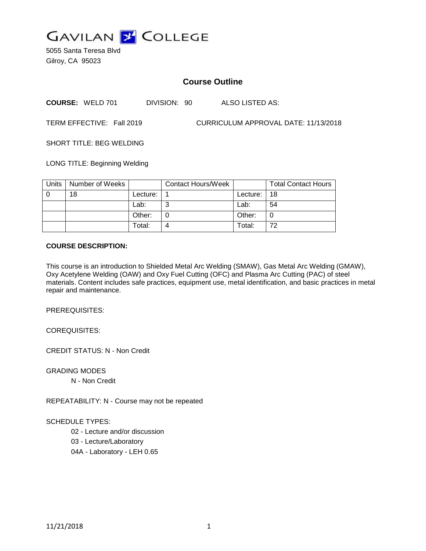

5055 Santa Teresa Blvd Gilroy, CA 95023

# **Course Outline**

**COURSE:** WELD 701 DIVISION: 90 ALSO LISTED AS:

TERM EFFECTIVE: Fall 2019 CURRICULUM APPROVAL DATE: 11/13/2018

SHORT TITLE: BEG WELDING

LONG TITLE: Beginning Welding

| <b>Units</b> | Number of Weeks |            | Contact Hours/Week |          | <b>Total Contact Hours</b> |
|--------------|-----------------|------------|--------------------|----------|----------------------------|
|              | 18              | Lecture: . |                    | Lecture: | 18                         |
|              |                 | Lab:       |                    | Lab:     | 54                         |
|              |                 | Other:     |                    | Other:   |                            |
|              |                 | Total:     | 4                  | Total:   | 72                         |

### **COURSE DESCRIPTION:**

This course is an introduction to Shielded Metal Arc Welding (SMAW), Gas Metal Arc Welding (GMAW), Oxy Acetylene Welding (OAW) and Oxy Fuel Cutting (OFC) and Plasma Arc Cutting (PAC) of steel materials. Content includes safe practices, equipment use, metal identification, and basic practices in metal repair and maintenance.

PREREQUISITES:

COREQUISITES:

CREDIT STATUS: N - Non Credit

GRADING MODES

N - Non Credit

REPEATABILITY: N - Course may not be repeated

#### SCHEDULE TYPES:

02 - Lecture and/or discussion

03 - Lecture/Laboratory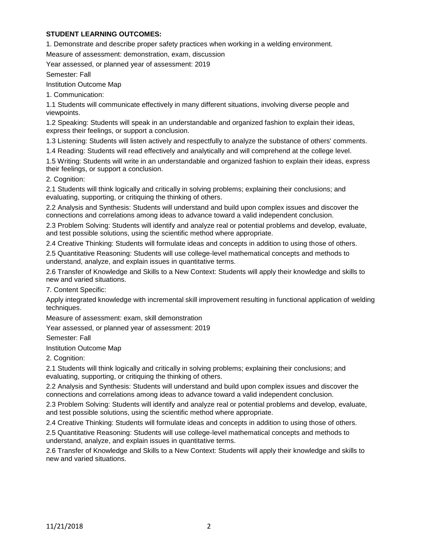# **STUDENT LEARNING OUTCOMES:**

1. Demonstrate and describe proper safety practices when working in a welding environment.

Measure of assessment: demonstration, exam, discussion

Year assessed, or planned year of assessment: 2019

Semester: Fall

Institution Outcome Map

1. Communication:

1.1 Students will communicate effectively in many different situations, involving diverse people and viewpoints.

1.2 Speaking: Students will speak in an understandable and organized fashion to explain their ideas, express their feelings, or support a conclusion.

1.3 Listening: Students will listen actively and respectfully to analyze the substance of others' comments.

1.4 Reading: Students will read effectively and analytically and will comprehend at the college level.

1.5 Writing: Students will write in an understandable and organized fashion to explain their ideas, express their feelings, or support a conclusion.

2. Cognition:

2.1 Students will think logically and critically in solving problems; explaining their conclusions; and evaluating, supporting, or critiquing the thinking of others.

2.2 Analysis and Synthesis: Students will understand and build upon complex issues and discover the connections and correlations among ideas to advance toward a valid independent conclusion.

2.3 Problem Solving: Students will identify and analyze real or potential problems and develop, evaluate, and test possible solutions, using the scientific method where appropriate.

2.4 Creative Thinking: Students will formulate ideas and concepts in addition to using those of others.

2.5 Quantitative Reasoning: Students will use college-level mathematical concepts and methods to understand, analyze, and explain issues in quantitative terms.

2.6 Transfer of Knowledge and Skills to a New Context: Students will apply their knowledge and skills to new and varied situations.

7. Content Specific:

Apply integrated knowledge with incremental skill improvement resulting in functional application of welding techniques.

Measure of assessment: exam, skill demonstration

Year assessed, or planned year of assessment: 2019

Semester: Fall

Institution Outcome Map

2. Cognition:

2.1 Students will think logically and critically in solving problems; explaining their conclusions; and evaluating, supporting, or critiquing the thinking of others.

2.2 Analysis and Synthesis: Students will understand and build upon complex issues and discover the connections and correlations among ideas to advance toward a valid independent conclusion.

2.3 Problem Solving: Students will identify and analyze real or potential problems and develop, evaluate, and test possible solutions, using the scientific method where appropriate.

2.4 Creative Thinking: Students will formulate ideas and concepts in addition to using those of others.

2.5 Quantitative Reasoning: Students will use college-level mathematical concepts and methods to understand, analyze, and explain issues in quantitative terms.

2.6 Transfer of Knowledge and Skills to a New Context: Students will apply their knowledge and skills to new and varied situations.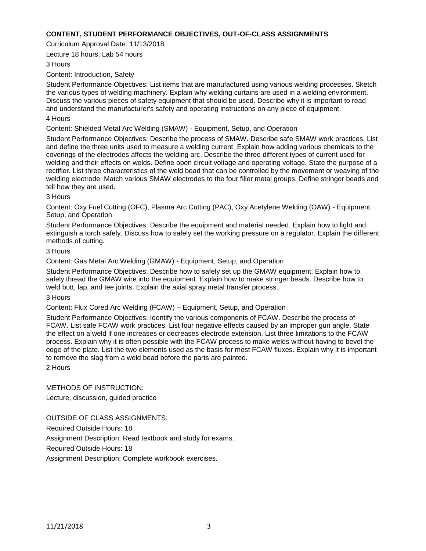# **CONTENT, STUDENT PERFORMANCE OBJECTIVES, OUT-OF-CLASS ASSIGNMENTS**

Curriculum Approval Date: 11/13/2018

Lecture 18 hours, Lab 54 hours

#### 3 Hours

Content: Introduction, Safety

Student Performance Objectives: List items that are manufactured using various welding processes. Sketch the various types of welding machinery. Explain why welding curtains are used in a welding environment. Discuss the various pieces of safety equipment that should be used. Describe why it is important to read and understand the manufacturer's safety and operating instructions on any piece of equipment.

#### 4 Hours

Content: Shielded Metal Arc Welding (SMAW) - Equipment, Setup, and Operation

Student Performance Objectives: Describe the process of SMAW. Describe safe SMAW work practices. List and define the three units used to measure a welding current. Explain how adding various chemicals to the coverings of the electrodes affects the welding arc. Describe the three different types of current used for welding and their effects on welds. Define open circuit voltage and operating voltage. State the purpose of a rectifier. List three characteristics of the weld bead that can be controlled by the movement or weaving of the welding electrode. Match various SMAW electrodes to the four filler metal groups. Define stringer beads and tell how they are used.

### 3 Hours

Content: Oxy Fuel Cutting (OFC), Plasma Arc Cutting (PAC), Oxy Acetylene Welding (OAW) - Equipment, Setup, and Operation

Student Performance Objectives: Describe the equipment and material needed. Explain how to light and extinguish a torch safely. Discuss how to safely set the working pressure on a regulator. Explain the different methods of cutting.

### 3 Hours

Content: Gas Metal Arc Welding (GMAW) - Equipment, Setup, and Operation

Student Performance Objectives: Describe how to safely set up the GMAW equipment. Explain how to safely thread the GMAW wire into the equipment. Explain how to make stringer beads. Describe how to weld butt, lap, and tee joints. Explain the axial spray metal transfer process.

#### 3 Hours

Content: Flux Cored Arc Welding (FCAW) – Equipment, Setup, and Operation

Student Performance Objectives: Identify the various components of FCAW. Describe the process of FCAW. List safe FCAW work practices. List four negative effects caused by an improper gun angle. State the effect on a weld if one increases or decreases electrode extension. List three limitations to the FCAW process. Explain why it is often possible with the FCAW process to make welds without having to bevel the edge of the plate. List the two elements used as the basis for most FCAW fluxes. Explain why it is important to remove the slag from a weld bead before the parts are painted.

2 Hours

METHODS OF INSTRUCTION: Lecture, discussion, guided practice

OUTSIDE OF CLASS ASSIGNMENTS:

Required Outside Hours: 18

Assignment Description: Read textbook and study for exams.

Required Outside Hours: 18

Assignment Description: Complete workbook exercises.